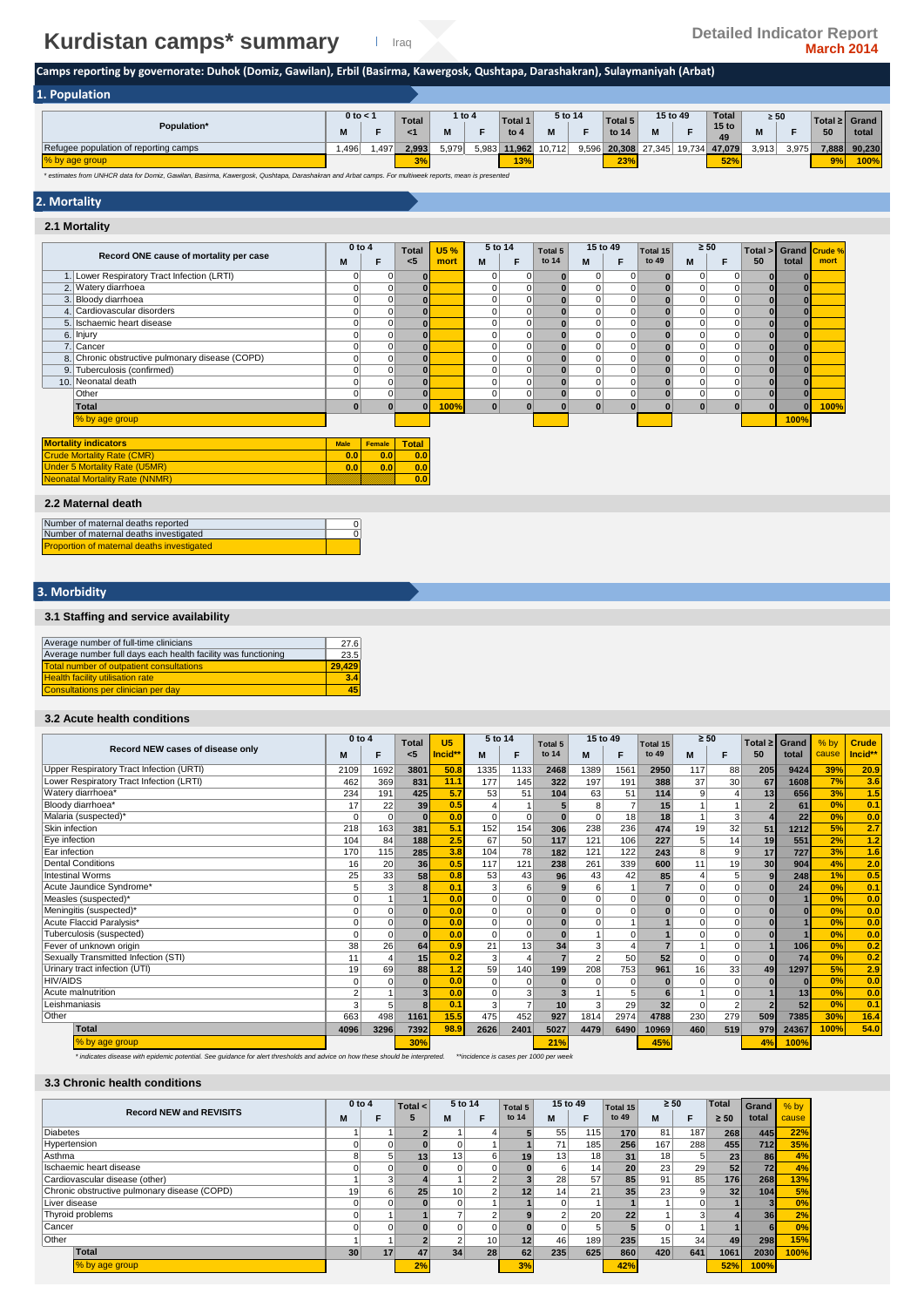# **Kurdistan camps\* summary Detailed Indicator Report**<br>March 2014

## **Camps reporting by governorate: Duhok (Domiz, Gawilan), Erbil (Basirma, Kawergosk, Qushtapa, Darashakran), Sulaymaniyah (Arbat)**

0 0

| 1. Population                                                                                                                       |      |              |              |       |        |                |         |       |                    |               |          |                        |           |       |               |        |
|-------------------------------------------------------------------------------------------------------------------------------------|------|--------------|--------------|-------|--------|----------------|---------|-------|--------------------|---------------|----------|------------------------|-----------|-------|---------------|--------|
|                                                                                                                                     |      | $0$ to $<$ 1 | <b>Total</b> |       | 1 to 4 | <b>Total 1</b> | 5 to 14 |       | Total <sub>5</sub> |               | 15 to 49 | <b>Total</b>           | $\geq 50$ |       | Total ≥ Grand |        |
| Population*                                                                                                                         | M    |              |              | М     |        | to $4$         | N       |       | to 14              | M             |          | 15 <sub>to</sub><br>49 | м         |       | 50            | total  |
| Refugee population of reporting camps                                                                                               | .496 | .497         | 2.993        | 5,979 | 5,983  | 11,962         | 10.712  | 9,596 |                    | 20.308 27.345 | 19.734   | 47.079                 | 3.913     | 3,975 | 7,888         | 90.230 |
| % by age group                                                                                                                      |      |              | $\sim$       |       |        | 13%            |         |       | 23%                |               |          | 52%                    |           |       | 9%            | 100%   |
| A colorado Angel <b>Ballon</b> das Archives Archives Montened Archives Archibert and Advanced Franch Word archives and archives and |      |              |              |       |        |                |         |       |                    |               |          |                        |           |       |               |        |

*\* estimates from UNHCR data for Domiz, Gawilan, Basirma, Kawergosk, Qushtapa, Darashakran and Arbat camps. For multiweek reports, mean is presented*

### **2. Mortality**

| 2.1 Mortality                                   |                 |                |              |              |              |             |                  |               |          |                   |                |                |               |              |                       |
|-------------------------------------------------|-----------------|----------------|--------------|--------------|--------------|-------------|------------------|---------------|----------|-------------------|----------------|----------------|---------------|--------------|-----------------------|
| Record ONE cause of mortality per case          | $0$ to $4$<br>M | F              | Total<br>< 5 | U5 %<br>mort | 5 to 14<br>M | F           | Total 5<br>to 14 | 15 to 49<br>M | F        | Total 15<br>to 49 | $\geq 50$<br>M | F              | Total ><br>50 | total        | Grand Crude %<br>mort |
| 1. Lower Respiratory Tract Infection (LRTI)     | 0               | 0              | $\bf{0}$     |              | 0            | 0           |                  | 0             | $\Omega$ | $\bf{0}$          | 0              | 0              | O             | $\bf{0}$     |                       |
| 2. Watery diarrhoea                             | 0               |                | $\bf{0}$     |              | $\mathbf 0$  | 0           |                  | $\Omega$      | $\Omega$ | $\bf{0}$          | $\Omega$       | $\Omega$       |               | $\bf{0}$     |                       |
| 3. Bloody diarrhoea                             | 0               | 0              | $\bf{0}$     |              | $\mathbf 0$  | 0           |                  | $\Omega$      | $\Omega$ | $\bf{0}$          | $\Omega$       | $\overline{0}$ |               | $\bf{0}$     |                       |
| 4. Cardiovascular disorders                     | $\Omega$        |                | $\bf{0}$     |              | $\Omega$     | $\Omega$    |                  | 0             | $\Omega$ | $\bf{0}$          | $\Omega$       | $\Omega$       |               | $\bf{0}$     |                       |
| 5. Ischaemic heart disease                      | 0               | 0              | $\bf{0}$     |              | $\mathbf 0$  | 0           |                  | $\Omega$      | 0        | $\mathbf{0}$      | $\Omega$       | $\Omega$       |               | $\bf{0}$     |                       |
| 6. Injury                                       | 0               | $\overline{0}$ | $\bf{0}$     |              | $\mathbf 0$  | $\mathbf 0$ |                  | $\Omega$      | $\Omega$ | $\mathbf{0}$      | $\overline{0}$ | $\Omega$       |               | $\bf{0}$     |                       |
| 7. Cancer                                       | $\mathbf 0$     | $\overline{0}$ | $\bf{0}$     |              | $\mathbf 0$  | $\mathbf 0$ |                  | 0             | 0        | $\mathbf{0}$      | $\overline{0}$ | $\overline{0}$ |               | $\bf{0}$     |                       |
| 8. Chronic obstructive pulmonary disease (COPD) | 0               | $\overline{0}$ | $\bf{0}$     |              | $\mathbf 0$  | $\mathbf 0$ |                  | $\Omega$      | 0        | $\mathbf{0}$      | $\overline{0}$ | $\Omega$       |               | $\bf{0}$     |                       |
| 9. Tuberculosis (confirmed)                     | 0               | $\overline{0}$ | $\bf{0}$     |              | $\Omega$     | $\mathbf 0$ |                  | $\Omega$      | 0        | $\mathbf{0}$      | $\overline{0}$ | 0              | $\bf{0}$      | $\bf{0}$     |                       |
| 10. Neonatal death                              | $\Omega$        | $\overline{0}$ | $\mathbf{0}$ |              | $\Omega$     | $\mathbf 0$ |                  | 0             | 0        | $\mathbf{0}$      | $\overline{0}$ | 0              | $\bf{0}$      | $\bf{0}$     |                       |
| Other                                           | $\overline{0}$  | $\overline{0}$ | $\mathbf{0}$ |              | $\Omega$     | 0           |                  | 0             | 0        | $\mathbf{0}$      | $\overline{0}$ | $\overline{0}$ | $\bf{0}$      | $\mathbf{0}$ |                       |
| Total                                           | $\bf{0}$        |                | $\Omega$     | 100%         | $\mathbf{0}$ | $\Omega$    |                  | $\mathbf{0}$  | $\Omega$ | $\bf{0}$          | $\bf{0}$       | $\mathbf{0}$   |               | $\bf{0}$     | 100%                  |
| % by age group                                  |                 |                |              |              |              |             |                  |               |          |                   |                |                |               | 100%         |                       |
| <b>Mortality indicators</b>                     | <b>Male</b>     | Female         | <b>Total</b> |              |              |             |                  |               |          |                   |                |                |               |              |                       |
| <b>Crude Mortality Rate (CMR)</b>               | 0.0             | 0.0            | 0.0          |              |              |             |                  |               |          |                   |                |                |               |              |                       |
| <b>Under 5 Mortality Rate (U5MR)</b>            | 0.0             | 0.0            | 0.0          |              |              |             |                  |               |          |                   |                |                |               |              |                       |
| <b>Neonatal Mortality Rate (NNMR)</b>           |                 |                | 0.0          |              |              |             |                  |               |          |                   |                |                |               |              |                       |
| 2.2 Maternal death                              |                 |                |              |              |              |             |                  |               |          |                   |                |                |               |              |                       |

Number of maternal deaths reported Number of maternal deaths investigated Proportion of maternal deaths investigated

### **3. Morbidity**

### **3.1 Staffing and service availability**

| Average number of full-time clinicians                        | 27.6   |
|---------------------------------------------------------------|--------|
| Average number full days each health facility was functioning | 23.5   |
| Total number of outpatient consultations                      | 29.429 |
| <b>Health facility utilisation rate</b>                       | 3.4    |
| Consultations per clinician per day                           | 45     |

### **3.2 Acute health conditions**

|                                          | $0$ to $4$     |                | Total                   | U <sub>5</sub> | 5 to 14  |          | Total 5  | 15 to 49       |                | Total 15 | $\geq 50$ |                | Total $\geq$ | Grand    | $%$ by | <b>Crude</b> |
|------------------------------------------|----------------|----------------|-------------------------|----------------|----------|----------|----------|----------------|----------------|----------|-----------|----------------|--------------|----------|--------|--------------|
| Record NEW cases of disease only         | м              | F              | <5                      | Incid**        | M        | F        | to 14    | м              | F              | to 49    | M         |                | 50           | total    | cause  | Incid**      |
| Upper Respiratory Tract Infection (URTI) | 2109           | 1692           | 3801                    | 50.8           | 1335     | 1133     | 2468     | 1389           | 1561           | 2950     | 117       | 88             | 205          | 9424     | 39%    | 20.9         |
| Lower Respiratory Tract Infection (LRTI) | 462            | 369            | 831                     | 11.1           | 177      | 145      | 322      | 197            | 191            | 388      | 37        | 30             | 67           | 1608     | 7%     | 3.6          |
| Watery diarrhoea*                        | 234            | 191            | 425                     | 5.7            | 53       | 51       | 104      | 63             | 51             | 114      | 9         |                | 13           | 656      | 3%     | 1.5          |
| Bloody diarrhoea*                        | 17             | 22             | 39                      | 0.5            |          |          | 5        | 8              |                | 15       |           |                |              | 61       | 0%     | 0.1          |
| Malaria (suspected)*                     |                | $\Omega$       | $\Omega$                | 0.0            | $\Omega$ | $\Omega$ | $\Omega$ | $\Omega$       | 18             | 18       |           | 3              |              | 22       | 0%     | 0.0          |
| Skin infection                           | 218            | 163            | 381                     | 5.1            | 152      | 154      | 306      | 238            | 236            | 474      | 19        | 32             | 51           | 1212     | 5%     | 2.7          |
| Eye infection                            | 104            | 84             | 188                     | 2.5            | 67       | 50       | 117      | 121            | 106            | 227      |           | 14             | 19           | 551      | 2%     | 1.2          |
| Ear infection                            | 170            | 115            | 285                     | 3.8            | 104      | 78       | 182      | 121            | 122            | 243      | 8         | 9              | 17           | 727      | 3%     | 1.6          |
| <b>Dental Conditions</b>                 | 16             | 20             | 36                      | 0.5            | 117      | 121      | 238      | 261            | 339            | 600      | 11        | 19             | 30           | 904      | 4%     | 2.0          |
| <b>Intestinal Worms</b>                  | 25             | 33             | 58                      | 0.8            | 53       | 43       | 96       | 43             | 42             | 85       |           | 5              |              | 248      | 1%     | 0.5          |
| Acute Jaundice Svndrome*                 | 5              | 3              | $\bf{8}$                | 0.1            | 3        | 6        | 9        | 6              |                |          |           | $\Omega$       |              | 24       | 0%     | 0.1          |
| Measles (suspected)*                     | 0              |                |                         | 0.0            | $\Omega$ |          |          | $\Omega$       | $\Omega$       |          |           | $\Omega$       |              |          | 0%     | 0.0          |
| Meningitis (suspected)*                  | 0              | $\Omega$       | $\bf{0}$                | 0.0            | $\Omega$ | $\Omega$ | $\Omega$ | $\Omega$       | $\mathbf 0$    | $\Omega$ | $\Omega$  | $\Omega$       |              | $\bf{0}$ | 0%     | 0.0          |
| Acute Flaccid Paralysis*                 |                | $\Omega$       | $\Omega$                | 0.0            | $\Omega$ | $\Omega$ |          | $\Omega$       |                |          |           | $\Omega$       |              |          | 0%     | 0.0          |
| Tuberculosis (suspected)                 | U              | $\Omega$       | $\Omega$                | 0.0            | $\Omega$ | $\Omega$ |          |                | $\Omega$       |          |           | $\Omega$       |              |          | 0%     | 0.0          |
| Fever of unknown origin                  | 38             | 26             | 64                      | 0.9            | 21       | 13       | 34       | 3              | $\overline{4}$ |          |           | $\Omega$       |              | 106      | 0%     | 0.2          |
| Sexually Transmitted Infection (STI)     | 11             | $\overline{4}$ | 15                      | 0.2            | 3        |          |          | $\overline{2}$ | 50             | 52       |           | $\Omega$       |              | 74       | 0%     | 0.2          |
| Urinary tract infection (UTI)            | 19             | 69             | 88                      | 1.2            | 59       | 140      | 199      | 208            | 753            | 961      | 16        | 33             | 49           | 1297     | 5%     | 2.9          |
| <b>HIV/AIDS</b>                          |                | $\Omega$       | $\bf{0}$                | 0.0            | $\Omega$ | $\Omega$ |          | $\Omega$       | $\mathbf 0$    |          |           | $\Omega$       |              | $\bf{0}$ | 0%     | 0.0          |
| Acute malnutrition                       | $\overline{2}$ |                | $\overline{\mathbf{3}}$ | 0.0            |          |          | 3        |                | 5              | 6        |           | $\Omega$       |              | 13       | 0%     | 0.0          |
| Leishmaniasis                            | 3              | 5              |                         | 0.1            | 3        |          | 10       | 3              | 29             | 32       | $\Omega$  | $\overline{2}$ |              | 52       | 0%     | 0.1          |
| Other                                    | 663            | 498            | 1161                    | 15.5           | 475      | 452      | 927      | 1814           | 2974           | 4788     | 230       | 279            | 509          | 7385     | 30%    | 16.4         |
| Total                                    | 4096           | 3296           | 7392                    | 98.9           | 2626     | 2401     | 5027     | 4479           | 6490           | 10969    | 460       | 519            | 979          | 24367    | 100%   | 54.0         |
| % by age group                           |                |                | 30%                     |                |          |          | 21%      |                |                | 45%      |           |                | 4%           | 100%     |        |              |

*\* indicates disease with epidemic potential. See guidance for alert thresholds and advice on how these should be interpreted. \*\*incidence is cases per 1000 per week*

### **3.3 Chronic health conditions**

|                                              | $0$ to 4 |    | Total $\leq$ |                 | 5 to 14        | Total 5         | 15 to 49        |     | Total 15 | $\geq 50$ |                | <b>Total</b>    | Grand       | $%$ by |
|----------------------------------------------|----------|----|--------------|-----------------|----------------|-----------------|-----------------|-----|----------|-----------|----------------|-----------------|-------------|--------|
| <b>Record NEW and REVISITS</b>               | м        | F  | 5            | M               |                | to 14           | M               |     | to 49    | M         |                | $\geq 50$       | total       | cause  |
| <b>Diabetes</b>                              |          |    |              |                 |                |                 | 55              | 115 | 170      | 81        | 187            | 268             | 445         | 22%    |
| Hypertension                                 | 0        | 0  |              |                 |                |                 | 71              | 185 | 256      | 167       | 288            | 455             | 712         | 35%    |
| Asthma                                       | 8        |    |              | 13 <sup>1</sup> | 6              | 19              | 13 <sub>1</sub> | 18  | 31       | 18        | 5              | 23              | 86          | 4%     |
| Ischaemic heart disease                      | 0        |    |              |                 |                |                 | 6               | 14  | 20       | 23        | 29             | 52              | 72          | 4%     |
| Cardiovascular disease (other)               |          |    |              |                 |                |                 | 28              | 57  | 85       | 91        | 85             | 176             | 268         | 13%    |
| Chronic obstructive pulmonary disease (COPD) | 19       | 6  | 25           | 10 <sup>1</sup> | $\overline{ }$ |                 | 14 <sub>1</sub> | 211 | 35       | 23        | 9 <sub>1</sub> | 32 <sub>1</sub> | 104         | 5%     |
| Liver disease                                | 0        |    |              |                 |                |                 |                 |     |          |           | $\Omega$       |                 |             | 0%     |
| Thyroid problems                             |          |    |              |                 | $\sqrt{2}$     |                 |                 | 20  | 22       |           | 3              |                 | 36          | 2%     |
| Cancer                                       | 0        |    |              |                 |                |                 |                 | 5   |          |           |                |                 |             | 0%     |
| Other                                        |          |    |              | 2               | 10             | 12 <sub>1</sub> | 46              | 189 | 235      | 15        | 34             | 49              | 298         | 15%    |
| Total                                        | 30       | 17 | 47           | 34              | 28             | 62              | 235             | 625 | 860      | 420       | 641            | 1061            | <b>2030</b> | 100%   |
| % by age group                               |          |    | 2%           |                 |                | 3%              |                 |     | 42%      |           |                | 52%             | 100%        |        |